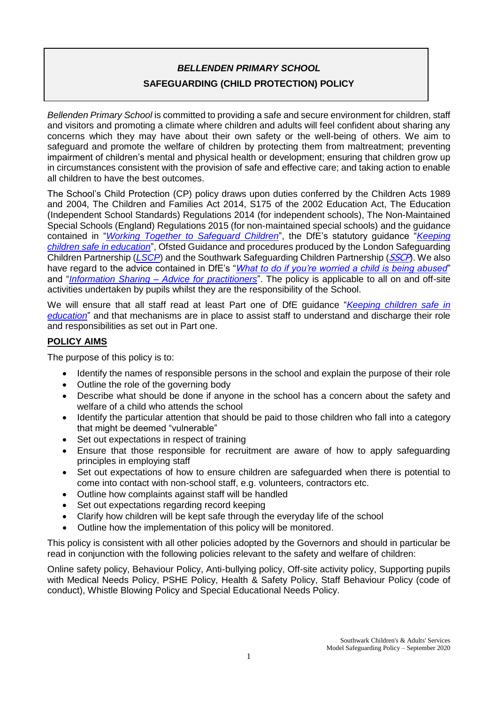# *BELLENDEN PRIMARY SCHOOL* **SAFEGUARDING (CHILD PROTECTION) POLICY**

*Bellenden Primary School* is committed to providing a safe and secure environment for children, staff and visitors and promoting a climate where children and adults will feel confident about sharing any concerns which they may have about their own safety or the well-being of others. We aim to safeguard and promote the welfare of children by protecting them from maltreatment; preventing impairment of children's mental and physical health or development; ensuring that children grow up in circumstances consistent with the provision of safe and effective care; and taking action to enable all children to have the best outcomes.

The School's Child Protection (CP) policy draws upon duties conferred by the Children Acts 1989 and 2004, The Children and Families Act 2014, S175 of the 2002 Education Act, The Education (Independent School Standards) Regulations 2014 (for independent schools), The Non-Maintained Special Schools (England) Regulations 2015 (for non-maintained special schools) and the guidance contained in "*[Working Together to Safeguard Children](https://www.gov.uk/government/publications/working-together-to-safeguard-children--2)*", the DfE's statutory guidance "*[Keeping](https://www.gov.uk/government/publications/keeping-children-safe-in-education--2)  [children safe in education](https://www.gov.uk/government/publications/keeping-children-safe-in-education--2)*", Ofsted Guidance and procedures produced by the London Safeguarding Children Partnership (*[LSCP](http://www.londonscb.gov.uk/)*) and the Southwark Safeguarding Children Partnership (*[SSCP](http://safeguarding.southwark.gov.uk/southwark-safeguarding-board/sscp/)*). We also have regard to the advice contained in DfE's "*[What to do if you're worried a child is being abused](https://www.gov.uk/government/publications/what-to-do-if-youre-worried-a-child-is-being-abused--2)*" and "*Information Sharing – [Advice for practitioners](https://www.gov.uk/government/publications/safeguarding-practitioners-information-sharing-advice)*". The policy is applicable to all on and off-site activities undertaken by pupils whilst they are the responsibility of the School.

We will ensure that all staff read at least Part one of DfE guidance "*[Keeping children safe in](https://www.gov.uk/government/publications/keeping-children-safe-in-education--2)  [education](https://www.gov.uk/government/publications/keeping-children-safe-in-education--2)*" and that mechanisms are in place to assist staff to understand and discharge their role and responsibilities as set out in Part one.

# **POLICY AIMS**

The purpose of this policy is to:

- Identify the names of responsible persons in the school and explain the purpose of their role
- Outline the role of the governing body
- Describe what should be done if anyone in the school has a concern about the safety and welfare of a child who attends the school
- Identify the particular attention that should be paid to those children who fall into a category that might be deemed "vulnerable"
- Set out expectations in respect of training
- Ensure that those responsible for recruitment are aware of how to apply safeguarding principles in employing staff
- Set out expectations of how to ensure children are safeguarded when there is potential to come into contact with non-school staff, e.g. volunteers, contractors etc.
- Outline how complaints against staff will be handled
- Set out expectations regarding record keeping
- Clarify how children will be kept safe through the everyday life of the school
- Outline how the implementation of this policy will be monitored.

This policy is consistent with all other policies adopted by the Governors and should in particular be read in conjunction with the following policies relevant to the safety and welfare of children:

Online safety policy, Behaviour Policy, Anti-bullying policy, Off-site activity policy, Supporting pupils with Medical Needs Policy, PSHE Policy, Health & Safety Policy, Staff Behaviour Policy (code of conduct), Whistle Blowing Policy and Special Educational Needs Policy.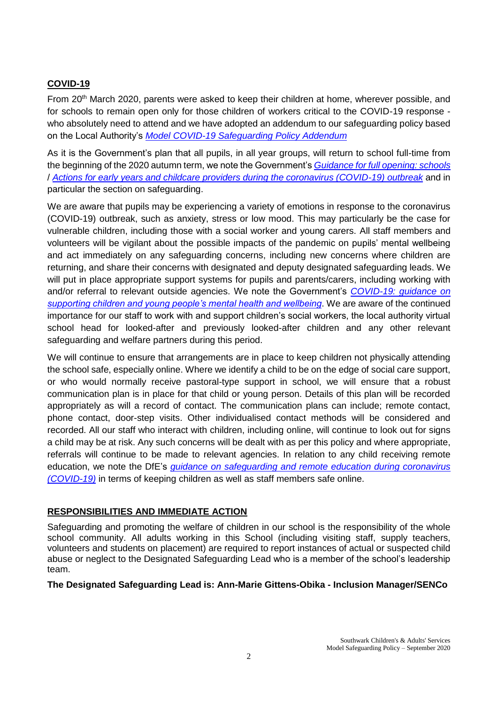# **COVID-19**

From 20<sup>th</sup> March 2020, parents were asked to keep their children at home, wherever possible, and for schools to remain open only for those children of workers critical to the COVID-19 response who absolutely need to attend and we have adopted an addendum to our safeguarding policy based on the Local Authority's *[Model COVID-19 Safeguarding Policy Addendum](https://schools.southwark.gov.uk/assets/attach/5848/Model-COVID-19-Safeguarding-Policy-Addendum.docx)*

As it is the Government's plan that all pupils, in all year groups, will return to school full-time from the beginning of the 2020 autumn term, we note the Government's *[Guidance for full opening: schools](https://www.gov.uk/government/publications/actions-for-schools-during-the-coronavirus-outbreak/guidance-for-full-opening-schools)* / *[Actions for early years and childcare providers during the coronavirus \(COVID-19\) outbreak](https://www.gov.uk/government/publications/coronavirus-covid-19-early-years-and-childcare-closures/coronavirus-covid-19-early-years-and-childcare-closures#safeguarding-and-welfare)* and in particular the section on safeguarding.

We are aware that pupils may be experiencing a variety of emotions in response to the coronavirus (COVID-19) outbreak, such as anxiety, stress or low mood. This may particularly be the case for vulnerable children, including those with a social worker and young carers. All staff members and volunteers will be vigilant about the possible impacts of the pandemic on pupils' mental wellbeing and act immediately on any safeguarding concerns, including new concerns where children are returning, and share their concerns with designated and deputy designated safeguarding leads. We will put in place appropriate support systems for pupils and parents/carers, including working with and/or referral to relevant outside agencies. We note the Government's *[COVID-19: guidance on](https://www.gov.uk/government/publications/covid-19-guidance-on-supporting-children-and-young-peoples-mental-health-and-wellbeing)  [supporting children and young people's mental health and wellbeing](https://www.gov.uk/government/publications/covid-19-guidance-on-supporting-children-and-young-peoples-mental-health-and-wellbeing)*. We are aware of the continued importance for our staff to work with and support children's social workers, the local authority virtual school head for looked-after and previously looked-after children and any other relevant safeguarding and welfare partners during this period.

We will continue to ensure that arrangements are in place to keep children not physically attending the school safe, especially online. Where we identify a child to be on the edge of social care support, or who would normally receive pastoral-type support in school, we will ensure that a robust communication plan is in place for that child or young person. Details of this plan will be recorded appropriately as will a record of contact. The communication plans can include; remote contact, phone contact, door-step visits. Other individualised contact methods will be considered and recorded. All our staff who interact with children, including online, will continue to look out for signs a child may be at risk. Any such concerns will be dealt with as per this policy and where appropriate, referrals will continue to be made to relevant agencies. In relation to any child receiving remote education, we note the DfE's *[guidance on safeguarding and remote education](https://www.gov.uk/guidance/safeguarding-and-remote-education-during-coronavirus-covid-19) during coronavirus [\(COVID-19\)](https://www.gov.uk/guidance/safeguarding-and-remote-education-during-coronavirus-covid-19)* in terms of keeping children as well as staff members safe online.

### **RESPONSIBILITIES AND IMMEDIATE ACTION**

Safeguarding and promoting the welfare of children in our school is the responsibility of the whole school community. All adults working in this School (including visiting staff, supply teachers, volunteers and students on placement) are required to report instances of actual or suspected child abuse or neglect to the Designated Safeguarding Lead who is a member of the school's leadership team.

**The Designated Safeguarding Lead is: Ann-Marie Gittens-Obika - Inclusion Manager/SENCo**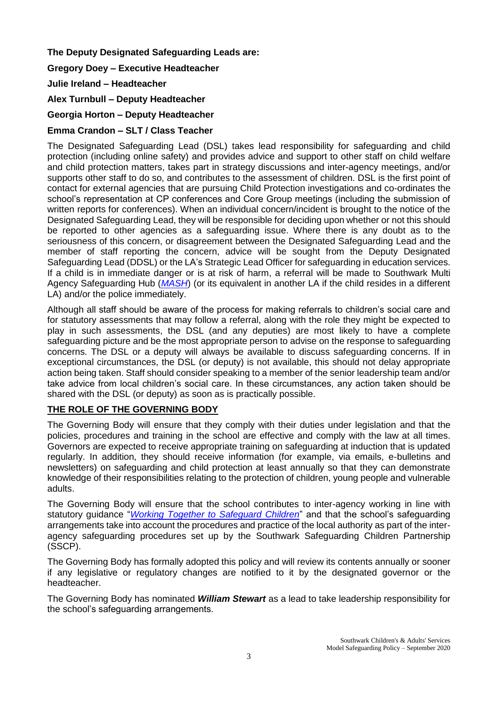# **The Deputy Designated Safeguarding Leads are:**

## **Gregory Doey – Executive Headteacher**

## **Julie Ireland – Headteacher**

**Alex Turnbull – Deputy Headteacher**

## **Georgia Horton – Deputy Headteacher**

# **Emma Crandon – SLT / Class Teacher**

The Designated Safeguarding Lead (DSL) takes lead responsibility for safeguarding and child protection (including online safety) and provides advice and support to other staff on child welfare and child protection matters, takes part in strategy discussions and inter-agency meetings, and/or supports other staff to do so, and contributes to the assessment of children. DSL is the first point of contact for external agencies that are pursuing Child Protection investigations and co-ordinates the school's representation at CP conferences and Core Group meetings (including the submission of written reports for conferences). When an individual concern/incident is brought to the notice of the Designated Safeguarding Lead, they will be responsible for deciding upon whether or not this should be reported to other agencies as a safeguarding issue. Where there is any doubt as to the seriousness of this concern, or disagreement between the Designated Safeguarding Lead and the member of staff reporting the concern, advice will be sought from the Deputy Designated Safeguarding Lead (DDSL) or the LA's Strategic Lead Officer for safeguarding in education services. If a child is in immediate danger or is at risk of harm, a referral will be made to Southwark Multi Agency Safeguarding Hub (*[MASH](https://www.southwark.gov.uk/childcare-and-parenting/children-s-social-care/child-protection/multi-agency-safeguarding-hub-mash)*) (or its equivalent in another LA if the child resides in a different LA) and/or the police immediately.

Although all staff should be aware of the process for making referrals to children's social care and for statutory assessments that may follow a referral, along with the role they might be expected to play in such assessments, the DSL (and any deputies) are most likely to have a complete safeguarding picture and be the most appropriate person to advise on the response to safeguarding concerns. The DSL or a deputy will always be available to discuss safeguarding concerns. If in exceptional circumstances, the DSL (or deputy) is not available, this should not delay appropriate action being taken. Staff should consider speaking to a member of the senior leadership team and/or take advice from local children's social care. In these circumstances, any action taken should be shared with the DSL (or deputy) as soon as is practically possible.

# **THE ROLE OF THE GOVERNING BODY**

The Governing Body will ensure that they comply with their duties under legislation and that the policies, procedures and training in the school are effective and comply with the law at all times. Governors are expected to receive appropriate training on safeguarding at induction that is updated regularly. In addition, they should receive information (for example, via emails, e-bulletins and newsletters) on safeguarding and child protection at least annually so that they can demonstrate knowledge of their responsibilities relating to the protection of children, young people and vulnerable adults.

The Governing Body will ensure that the school contributes to inter-agency working in line with statutory guidance "*[Working Together to Safeguard Children](https://www.gov.uk/government/publications/working-together-to-safeguard-children--2)*" and that the school's safeguarding arrangements take into account the procedures and practice of the local authority as part of the interagency safeguarding procedures set up by the Southwark Safeguarding Children Partnership (SSCP).

The Governing Body has formally adopted this policy and will review its contents annually or sooner if any legislative or regulatory changes are notified to it by the designated governor or the headteacher.

The Governing Body has nominated *William Stewart* as a lead to take leadership responsibility for the school's safeguarding arrangements.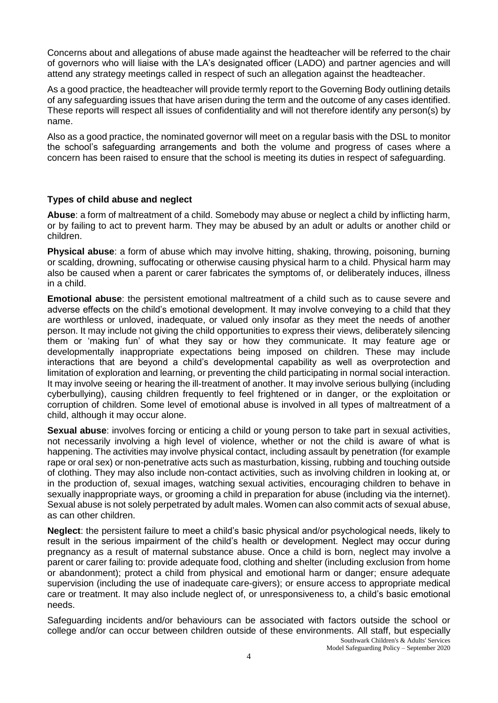Concerns about and allegations of abuse made against the headteacher will be referred to the chair of governors who will liaise with the LA's designated officer (LADO) and partner agencies and will attend any strategy meetings called in respect of such an allegation against the headteacher.

As a good practice, the headteacher will provide termly report to the Governing Body outlining details of any safeguarding issues that have arisen during the term and the outcome of any cases identified. These reports will respect all issues of confidentiality and will not therefore identify any person(s) by name.

Also as a good practice, the nominated governor will meet on a regular basis with the DSL to monitor the school's safeguarding arrangements and both the volume and progress of cases where a concern has been raised to ensure that the school is meeting its duties in respect of safeguarding.

## **Types of child abuse and neglect**

**Abuse**: a form of maltreatment of a child. Somebody may abuse or neglect a child by inflicting harm, or by failing to act to prevent harm. They may be abused by an adult or adults or another child or children.

**Physical abuse**: a form of abuse which may involve hitting, shaking, throwing, poisoning, burning or scalding, drowning, suffocating or otherwise causing physical harm to a child. Physical harm may also be caused when a parent or carer fabricates the symptoms of, or deliberately induces, illness in a child.

**Emotional abuse**: the persistent emotional maltreatment of a child such as to cause severe and adverse effects on the child's emotional development. It may involve conveying to a child that they are worthless or unloved, inadequate, or valued only insofar as they meet the needs of another person. It may include not giving the child opportunities to express their views, deliberately silencing them or 'making fun' of what they say or how they communicate. It may feature age or developmentally inappropriate expectations being imposed on children. These may include interactions that are beyond a child's developmental capability as well as overprotection and limitation of exploration and learning, or preventing the child participating in normal social interaction. It may involve seeing or hearing the ill-treatment of another. It may involve serious bullying (including cyberbullying), causing children frequently to feel frightened or in danger, or the exploitation or corruption of children. Some level of emotional abuse is involved in all types of maltreatment of a child, although it may occur alone.

**Sexual abuse**: involves forcing or enticing a child or young person to take part in sexual activities, not necessarily involving a high level of violence, whether or not the child is aware of what is happening. The activities may involve physical contact, including assault by penetration (for example rape or oral sex) or non-penetrative acts such as masturbation, kissing, rubbing and touching outside of clothing. They may also include non-contact activities, such as involving children in looking at, or in the production of, sexual images, watching sexual activities, encouraging children to behave in sexually inappropriate ways, or grooming a child in preparation for abuse (including via the internet). Sexual abuse is not solely perpetrated by adult males. Women can also commit acts of sexual abuse, as can other children.

**Neglect**: the persistent failure to meet a child's basic physical and/or psychological needs, likely to result in the serious impairment of the child's health or development. Neglect may occur during pregnancy as a result of maternal substance abuse. Once a child is born, neglect may involve a parent or carer failing to: provide adequate food, clothing and shelter (including exclusion from home or abandonment); protect a child from physical and emotional harm or danger; ensure adequate supervision (including the use of inadequate care-givers); or ensure access to appropriate medical care or treatment. It may also include neglect of, or unresponsiveness to, a child's basic emotional needs.

Southwark Children's & Adults' Services Safeguarding incidents and/or behaviours can be associated with factors outside the school or college and/or can occur between children outside of these environments. All staff, but especially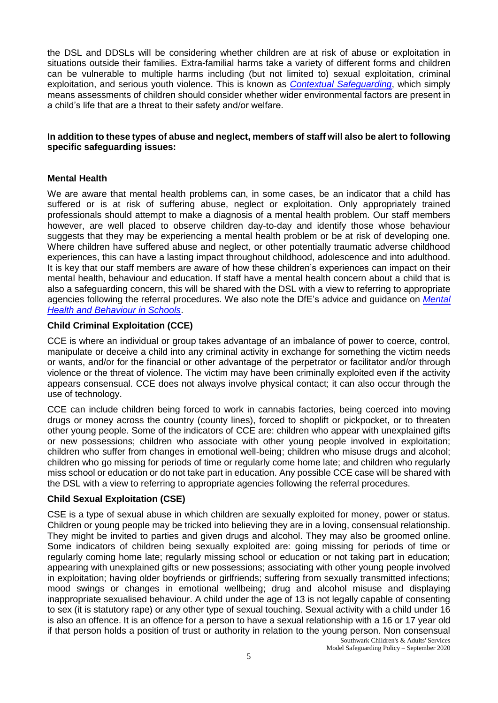the DSL and DDSLs will be considering whether children are at risk of abuse or exploitation in situations outside their families. Extra-familial harms take a variety of different forms and children can be vulnerable to multiple harms including (but not limited to) sexual exploitation, criminal exploitation, and serious youth violence. This is known as *[Contextual Safeguarding](https://contextualsafeguarding.org.uk/)*, which simply means assessments of children should consider whether wider environmental factors are present in a child's life that are a threat to their safety and/or welfare.

### **In addition to these types of abuse and neglect, members of staff will also be alert to following specific safeguarding issues:**

## **Mental Health**

We are aware that mental health problems can, in some cases, be an indicator that a child has suffered or is at risk of suffering abuse, neglect or exploitation. Only appropriately trained professionals should attempt to make a diagnosis of a mental health problem. Our staff members however, are well placed to observe children day-to-day and identify those whose behaviour suggests that they may be experiencing a mental health problem or be at risk of developing one. Where children have suffered abuse and neglect, or other potentially traumatic adverse childhood experiences, this can have a lasting impact throughout childhood, adolescence and into adulthood. It is key that our staff members are aware of how these children's experiences can impact on their mental health, behaviour and education. If staff have a mental health concern about a child that is also a safeguarding concern, this will be shared with the DSL with a view to referring to appropriate agencies following the referral procedures. We also note the DfE's advice and guidance on *[Mental](https://www.gov.uk/government/publications/mental-health-and-behaviour-in-schools--2)  [Health and Behaviour in Schools](https://www.gov.uk/government/publications/mental-health-and-behaviour-in-schools--2)*.

## **Child Criminal Exploitation (CCE)**

CCE is where an individual or group takes advantage of an imbalance of power to coerce, control, manipulate or deceive a child into any criminal activity in exchange for something the victim needs or wants, and/or for the financial or other advantage of the perpetrator or facilitator and/or through violence or the threat of violence. The victim may have been criminally exploited even if the activity appears consensual. CCE does not always involve physical contact; it can also occur through the use of technology.

CCE can include children being forced to work in cannabis factories, being coerced into moving drugs or money across the country (county lines), forced to shoplift or pickpocket, or to threaten other young people. Some of the indicators of CCE are: children who appear with unexplained gifts or new possessions; children who associate with other young people involved in exploitation; children who suffer from changes in emotional well-being; children who misuse drugs and alcohol; children who go missing for periods of time or regularly come home late; and children who regularly miss school or education or do not take part in education. Any possible CCE case will be shared with the DSL with a view to referring to appropriate agencies following the referral procedures.

# **Child Sexual Exploitation (CSE)**

Southwark Children's & Adults' Services CSE is a type of sexual abuse in which children are sexually exploited for money, power or status. Children or young people may be tricked into believing they are in a loving, consensual relationship. They might be invited to parties and given drugs and alcohol. They may also be groomed online. Some indicators of children being sexually exploited are: going missing for periods of time or regularly coming home late; regularly missing school or education or not taking part in education; appearing with unexplained gifts or new possessions; associating with other young people involved in exploitation; having older boyfriends or girlfriends; suffering from sexually transmitted infections; mood swings or changes in emotional wellbeing; drug and alcohol misuse and displaying inappropriate sexualised behaviour. A child under the age of 13 is not legally capable of consenting to sex (it is statutory rape) or any other type of sexual touching. Sexual activity with a child under 16 is also an offence. It is an offence for a person to have a sexual relationship with a 16 or 17 year old if that person holds a position of trust or authority in relation to the young person. Non consensual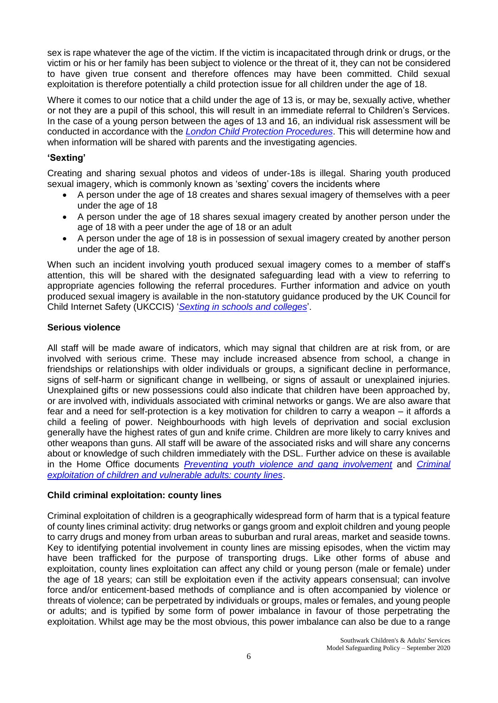sex is rape whatever the age of the victim. If the victim is incapacitated through drink or drugs, or the victim or his or her family has been subject to violence or the threat of it, they can not be considered to have given true consent and therefore offences may have been committed. Child sexual exploitation is therefore potentially a child protection issue for all children under the age of 18.

Where it comes to our notice that a child under the age of 13 is, or may be, sexually active, whether or not they are a pupil of this school, this will result in an immediate referral to Children's Services. In the case of a young person between the ages of 13 and 16, an individual risk assessment will be conducted in accordance with the *[London Child Protection Procedures](http://www.londoncp.co.uk/index.html)*. This will determine how and when information will be shared with parents and the investigating agencies.

## **'Sexting'**

Creating and sharing sexual photos and videos of under-18s is illegal. Sharing youth produced sexual imagery, which is commonly known as 'sexting' covers the incidents where

- A person under the age of 18 creates and shares sexual imagery of themselves with a peer under the age of 18
- A person under the age of 18 shares sexual imagery created by another person under the age of 18 with a peer under the age of 18 or an adult
- A person under the age of 18 is in possession of sexual imagery created by another person under the age of 18.

When such an incident involving youth produced sexual imagery comes to a member of staff's attention, this will be shared with the designated safeguarding lead with a view to referring to appropriate agencies following the referral procedures. Further information and advice on youth produced sexual imagery is available in the non-statutory guidance produced by the UK Council for Child Internet Safety (UKCCIS) '*[Sexting in schools and colleges](https://www.gov.uk/government/uploads/system/uploads/attachment_data/file/609874/6_2939_SP_NCA_Sexting_In_Schools_FINAL_Update_Jan17.pdf)*'.

## **Serious violence**

All staff will be made aware of indicators, which may signal that children are at risk from, or are involved with serious crime. These may include increased absence from school, a change in friendships or relationships with older individuals or groups, a significant decline in performance, signs of self-harm or significant change in wellbeing, or signs of assault or unexplained injuries. Unexplained gifts or new possessions could also indicate that children have been approached by, or are involved with, individuals associated with criminal networks or gangs. We are also aware that fear and a need for self-protection is a key motivation for children to carry a weapon – it affords a child a feeling of power. Neighbourhoods with high levels of deprivation and social exclusion generally have the highest rates of gun and knife crime. Children are more likely to carry knives and other weapons than guns. All staff will be aware of the associated risks and will share any concerns about or knowledge of such children immediately with the DSL. Further advice on these is available in the Home Office documents *[Preventing youth violence and gang involvement](https://www.gov.uk/government/publications/advice-to-schools-and-colleges-on-gangs-and-youth-violence)* and *[Criminal](https://www.gov.uk/government/publications/criminal-exploitation-of-children-and-vulnerable-adults-county-lines)  [exploitation of children and vulnerable adults: county lines](https://www.gov.uk/government/publications/criminal-exploitation-of-children-and-vulnerable-adults-county-lines)*.

### **Child criminal exploitation: county lines**

Criminal exploitation of children is a geographically widespread form of harm that is a typical feature of county lines criminal activity: drug networks or gangs groom and exploit children and young people to carry drugs and money from urban areas to suburban and rural areas, market and seaside towns. Key to identifying potential involvement in county lines are missing episodes, when the victim may have been trafficked for the purpose of transporting drugs. Like other forms of abuse and exploitation, county lines exploitation can affect any child or young person (male or female) under the age of 18 years; can still be exploitation even if the activity appears consensual; can involve force and/or enticement-based methods of compliance and is often accompanied by violence or threats of violence; can be perpetrated by individuals or groups, males or females, and young people or adults; and is typified by some form of power imbalance in favour of those perpetrating the exploitation. Whilst age may be the most obvious, this power imbalance can also be due to a range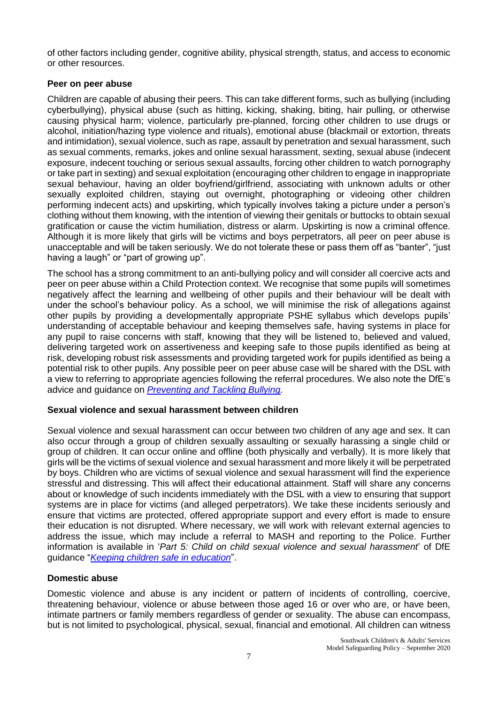of other factors including gender, cognitive ability, physical strength, status, and access to economic or other resources.

## **Peer on peer abuse**

Children are capable of abusing their peers. This can take different forms, such as bullying (including cyberbullying), physical abuse (such as hitting, kicking, shaking, biting, hair pulling, or otherwise causing physical harm; violence, particularly pre-planned, forcing other children to use drugs or alcohol, initiation/hazing type violence and rituals), emotional abuse (blackmail or extortion, threats and intimidation), sexual violence, such as rape, assault by penetration and sexual harassment, such as sexual comments, remarks, jokes and online sexual harassment, sexting, sexual abuse (indecent exposure, indecent touching or serious sexual assaults, forcing other children to watch pornography or take part in sexting) and sexual exploitation (encouraging other children to engage in inappropriate sexual behaviour, having an older boyfriend/girlfriend, associating with unknown adults or other sexually exploited children, staying out overnight, photographing or videoing other children performing indecent acts) and upskirting, which typically involves taking a picture under a person's clothing without them knowing, with the intention of viewing their genitals or buttocks to obtain sexual gratification or cause the victim humiliation, distress or alarm. Upskirting is now a criminal offence. Although it is more likely that girls will be victims and boys perpetrators, all peer on peer abuse is unacceptable and will be taken seriously. We do not tolerate these or pass them off as "banter", "just having a laugh" or "part of growing up".

The school has a strong commitment to an anti-bullying policy and will consider all coercive acts and peer on peer abuse within a Child Protection context. We recognise that some pupils will sometimes negatively affect the learning and wellbeing of other pupils and their behaviour will be dealt with under the school's behaviour policy. As a school, we will minimise the risk of allegations against other pupils by providing a developmentally appropriate PSHE syllabus which develops pupils' understanding of acceptable behaviour and keeping themselves safe, having systems in place for any pupil to raise concerns with staff, knowing that they will be listened to, believed and valued, delivering targeted work on assertiveness and keeping safe to those pupils identified as being at risk, developing robust risk assessments and providing targeted work for pupils identified as being a potential risk to other pupils. Any possible peer on peer abuse case will be shared with the DSL with a view to referring to appropriate agencies following the referral procedures. We also note the DfE's advice and guidance on *[Preventing and Tackling Bullying.](https://assets.publishing.service.gov.uk/government/uploads/system/uploads/attachment_data/file/623895/Preventing_and_tackling_bullying_advice.pdf)*

### **Sexual violence and sexual harassment between children**

Sexual violence and sexual harassment can occur between two children of any age and sex. It can also occur through a group of children sexually assaulting or sexually harassing a single child or group of children. It can occur online and offline (both physically and verbally). It is more likely that girls will be the victims of sexual violence and sexual harassment and more likely it will be perpetrated by boys. Children who are victims of sexual violence and sexual harassment will find the experience stressful and distressing. This will affect their educational attainment. Staff will share any concerns about or knowledge of such incidents immediately with the DSL with a view to ensuring that support systems are in place for victims (and alleged perpetrators). We take these incidents seriously and ensure that victims are protected, offered appropriate support and every effort is made to ensure their education is not disrupted. Where necessary, we will work with relevant external agencies to address the issue, which may include a referral to MASH and reporting to the Police. Further information is available in '*Part 5: Child on child sexual violence and sexual harassment*' of DfE guidance "*[Keeping children safe in education](https://www.gov.uk/government/publications/keeping-children-safe-in-education--2)*".

# **Domestic abuse**

Domestic violence and abuse is any incident or pattern of incidents of controlling, coercive, threatening behaviour, violence or abuse between those aged 16 or over who are, or have been, intimate partners or family members regardless of gender or sexuality. The abuse can encompass, but is not limited to psychological, physical, sexual, financial and emotional. All children can witness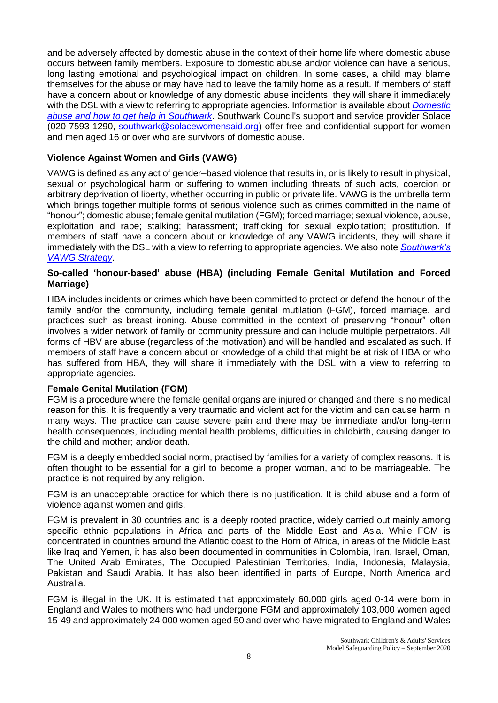and be adversely affected by domestic abuse in the context of their home life where domestic abuse occurs between family members. Exposure to domestic abuse and/or violence can have a serious, long lasting emotional and psychological impact on children. In some cases, a child may blame themselves for the abuse or may have had to leave the family home as a result. If members of staff have a concern about or knowledge of any domestic abuse incidents, they will share it immediately with the DSL with a view to referring to appropriate agencies. Information is available about *[Domestic](https://www.southwark.gov.uk/community-safety/domestic-violence-and-abuse/domestic-violence?chapter=2&displaypref=contrast&article)  [abuse and how to get help in Southwark](https://www.southwark.gov.uk/community-safety/domestic-violence-and-abuse/domestic-violence?chapter=2&displaypref=contrast&article)*. Southwark Council's support and service provider Solace (020 7593 1290, [southwark@solacewomensaid.org\)](mailto:southwark@solacewomensaid.org) offer free and confidential support for women and men aged 16 or over who are survivors of domestic abuse.

# **Violence Against Women and Girls (VAWG)**

VAWG is defined as any act of gender–based violence that results in, or is likely to result in physical, sexual or psychological harm or suffering to women including threats of such acts, coercion or arbitrary deprivation of liberty, whether occurring in public or private life. VAWG is the umbrella term which brings together multiple forms of serious violence such as crimes committed in the name of "honour"; domestic abuse; female genital mutilation (FGM); forced marriage; sexual violence, abuse, exploitation and rape; stalking; harassment; trafficking for sexual exploitation; prostitution. If members of staff have a concern about or knowledge of any VAWG incidents, they will share it immediately with the DSL with a view to referring to appropriate agencies. We also note *[Southwark's](https://www.southwark.gov.uk/community-safety/domestic-violence-and-abuse/domestic-violence?chapter=4&displaypref=contrast)  [VAWG Strategy](https://www.southwark.gov.uk/community-safety/domestic-violence-and-abuse/domestic-violence?chapter=4&displaypref=contrast)*.

### **So-called 'honour-based' abuse (HBA) (including Female Genital Mutilation and Forced Marriage)**

HBA includes incidents or crimes which have been committed to protect or defend the honour of the family and/or the community, including female genital mutilation (FGM), forced marriage, and practices such as breast ironing. Abuse committed in the context of preserving "honour" often involves a wider network of family or community pressure and can include multiple perpetrators. All forms of HBV are abuse (regardless of the motivation) and will be handled and escalated as such. If members of staff have a concern about or knowledge of a child that might be at risk of HBA or who has suffered from HBA, they will share it immediately with the DSL with a view to referring to appropriate agencies.

# **Female Genital Mutilation (FGM)**

FGM is a procedure where the female genital organs are injured or changed and there is no medical reason for this. It is frequently a very traumatic and violent act for the victim and can cause harm in many ways. The practice can cause severe pain and there may be immediate and/or long-term health consequences, including mental health problems, difficulties in childbirth, causing danger to the child and mother; and/or death.

FGM is a deeply embedded social norm, practised by families for a variety of complex reasons. It is often thought to be essential for a girl to become a proper woman, and to be marriageable. The practice is not required by any religion.

FGM is an unacceptable practice for which there is no justification. It is child abuse and a form of violence against women and girls.

FGM is prevalent in 30 countries and is a deeply rooted practice, widely carried out mainly among specific ethnic populations in Africa and parts of the Middle East and Asia. While FGM is concentrated in countries around the Atlantic coast to the Horn of Africa, in areas of the Middle East like Iraq and Yemen, it has also been documented in communities in Colombia, Iran, Israel, Oman, The United Arab Emirates, The Occupied Palestinian Territories, India, Indonesia, Malaysia, Pakistan and Saudi Arabia. It has also been identified in parts of Europe, North America and Australia.

FGM is illegal in the UK. It is estimated that approximately 60,000 girls aged 0-14 were born in England and Wales to mothers who had undergone FGM and approximately 103,000 women aged 15-49 and approximately 24,000 women aged 50 and over who have migrated to England and Wales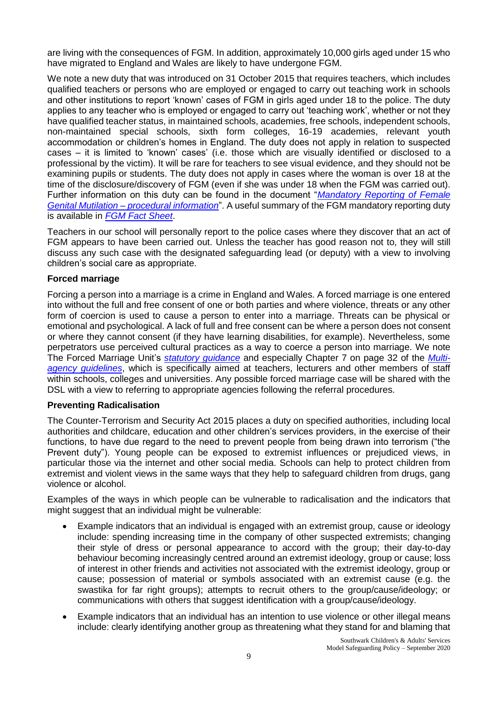are living with the consequences of FGM. In addition, approximately 10,000 girls aged under 15 who have migrated to England and Wales are likely to have undergone FGM.

We note a new duty that was introduced on 31 October 2015 that requires teachers, which includes qualified teachers or persons who are employed or engaged to carry out teaching work in schools and other institutions to report 'known' cases of FGM in girls aged under 18 to the police. The duty applies to any teacher who is employed or engaged to carry out 'teaching work', whether or not they have qualified teacher status, in maintained schools, academies, free schools, independent schools, non-maintained special schools, sixth form colleges, 16-19 academies, relevant youth accommodation or children's homes in England. The duty does not apply in relation to suspected cases – it is limited to 'known' cases' (i.e. those which are visually identified or disclosed to a professional by the victim). It will be rare for teachers to see visual evidence, and they should not be examining pupils or students. The duty does not apply in cases where the woman is over 18 at the time of the disclosure/discovery of FGM (even if she was under 18 when the FGM was carried out). Further information on this duty can be found in the document "*[Mandatory Reporting of Female](https://www.gov.uk/government/publications/mandatory-reporting-of-female-genital-mutilation-procedural-information)  Genital Mutilation – [procedural information](https://www.gov.uk/government/publications/mandatory-reporting-of-female-genital-mutilation-procedural-information)*". A useful summary of the FGM mandatory reporting duty is available in *[FGM Fact Sheet](https://assets.publishing.service.gov.uk/government/uploads/system/uploads/attachment_data/file/496415/6_1639_HO_SP_FGM_mandatory_reporting_Fact_sheet_Web.pdf)*.

Teachers in our school will personally report to the police cases where they discover that an act of FGM appears to have been carried out. Unless the teacher has good reason not to, they will still discuss any such case with the designated safeguarding lead (or deputy) with a view to involving children's social care as appropriate.

## **Forced marriage**

Forcing a person into a marriage is a crime in England and Wales. A forced marriage is one entered into without the full and free consent of one or both parties and where violence, threats or any other form of coercion is used to cause a person to enter into a marriage. Threats can be physical or emotional and psychological. A lack of full and free consent can be where a person does not consent or where they cannot consent (if they have learning disabilities, for example). Nevertheless, some perpetrators use perceived cultural practices as a way to coerce a person into marriage. We note The Forced Marriage Unit's *[statutory guidance](https://www.gov.uk/guidance/forced-marriage)* and especially Chapter 7 on page 32 of the *[Multi](https://assets.publishing.service.gov.uk/government/uploads/system/uploads/attachment_data/file/322307/HMG_MULTI_AGENCY_PRACTICE_GUIDELINES_v1_180614_FINAL.pdf)[agency guidelines](https://assets.publishing.service.gov.uk/government/uploads/system/uploads/attachment_data/file/322307/HMG_MULTI_AGENCY_PRACTICE_GUIDELINES_v1_180614_FINAL.pdf)*, which is specifically aimed at teachers, lecturers and other members of staff within schools, colleges and universities. Any possible forced marriage case will be shared with the DSL with a view to referring to appropriate agencies following the referral procedures.

### **Preventing Radicalisation**

The Counter-Terrorism and Security Act 2015 places a duty on specified authorities, including local authorities and childcare, education and other children's services providers, in the exercise of their functions, to have due regard to the need to prevent people from being drawn into terrorism ("the Prevent duty"). Young people can be exposed to extremist influences or prejudiced views, in particular those via the internet and other social media. Schools can help to protect children from extremist and violent views in the same ways that they help to safeguard children from drugs, gang violence or alcohol.

Examples of the ways in which people can be vulnerable to radicalisation and the indicators that might suggest that an individual might be vulnerable:

- Example indicators that an individual is engaged with an extremist group, cause or ideology include: spending increasing time in the company of other suspected extremists; changing their style of dress or personal appearance to accord with the group; their day-to-day behaviour becoming increasingly centred around an extremist ideology, group or cause; loss of interest in other friends and activities not associated with the extremist ideology, group or cause; possession of material or symbols associated with an extremist cause (e.g. the swastika for far right groups); attempts to recruit others to the group/cause/ideology; or communications with others that suggest identification with a group/cause/ideology.
- Example indicators that an individual has an intention to use violence or other illegal means include: clearly identifying another group as threatening what they stand for and blaming that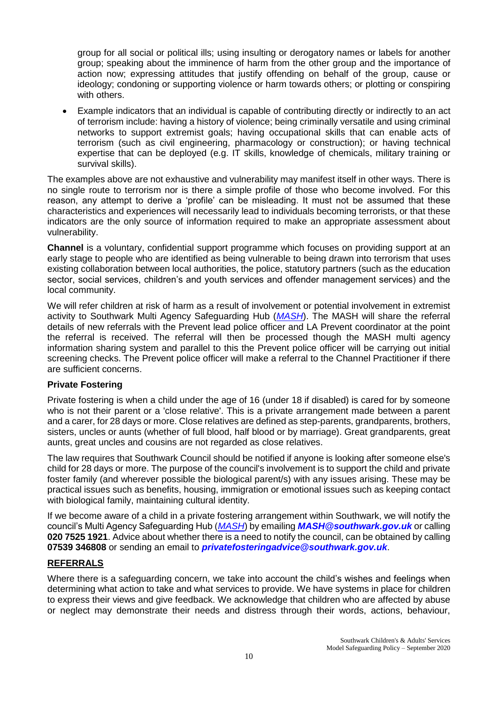group for all social or political ills; using insulting or derogatory names or labels for another group; speaking about the imminence of harm from the other group and the importance of action now; expressing attitudes that justify offending on behalf of the group, cause or ideology; condoning or supporting violence or harm towards others; or plotting or conspiring with others.

 Example indicators that an individual is capable of contributing directly or indirectly to an act of terrorism include: having a history of violence; being criminally versatile and using criminal networks to support extremist goals; having occupational skills that can enable acts of terrorism (such as civil engineering, pharmacology or construction); or having technical expertise that can be deployed (e.g. IT skills, knowledge of chemicals, military training or survival skills).

The examples above are not exhaustive and vulnerability may manifest itself in other ways. There is no single route to terrorism nor is there a simple profile of those who become involved. For this reason, any attempt to derive a 'profile' can be misleading. It must not be assumed that these characteristics and experiences will necessarily lead to individuals becoming terrorists, or that these indicators are the only source of information required to make an appropriate assessment about vulnerability.

**Channel** is a voluntary, confidential support programme which focuses on providing support at an early stage to people who are identified as being vulnerable to being drawn into terrorism that uses existing collaboration between local authorities, the police, statutory partners (such as the education sector, social services, children's and youth services and offender management services) and the local community.

We will refer children at risk of harm as a result of involvement or potential involvement in extremist activity to Southwark Multi Agency Safeguarding Hub (*[MASH](https://www.southwark.gov.uk/childcare-and-parenting/children-s-social-care/child-protection/multi-agency-safeguarding-hub-mash)*). The MASH will share the referral details of new referrals with the Prevent lead police officer and LA Prevent coordinator at the point the referral is received. The referral will then be processed though the MASH multi agency information sharing system and parallel to this the Prevent police officer will be carrying out initial screening checks. The Prevent police officer will make a referral to the Channel Practitioner if there are sufficient concerns.

# **Private Fostering**

Private fostering is when a child under the age of 16 (under 18 if disabled) is cared for by someone who is not their parent or a 'close relative'. This is a private arrangement made between a parent and a carer, for 28 days or more. Close relatives are defined as step-parents, grandparents, brothers, sisters, uncles or aunts (whether of full blood, half blood or by marriage). Great grandparents, great aunts, great uncles and cousins are not regarded as close relatives.

The law requires that Southwark Council should be notified if anyone is looking after someone else's child for 28 days or more. The purpose of the council's involvement is to support the child and private foster family (and wherever possible the biological parent/s) with any issues arising. These may be practical issues such as benefits, housing, immigration or emotional issues such as keeping contact with biological family, maintaining cultural identity.

If we become aware of a child in a private fostering arrangement within Southwark, we will notify the council's Multi Agency Safeguarding Hub (*[MASH](https://www.southwark.gov.uk/childcare-and-parenting/children-s-social-care/child-protection/multi-agency-safeguarding-hub-mash)*) by emailing *[MASH@southwark.gov.uk](mailto:MASH@southwark.gov.uk)* or calling **020 7525 1921**. Advice about whether there is a need to notify the council, can be obtained by calling **07539 346808** or sending an email to *[privatefosteringadvice@southwark.gov.uk](mailto:privatefosteringadvice@southwark.gov.uk)*.

# **REFERRALS**

Where there is a safeguarding concern, we take into account the child's wishes and feelings when determining what action to take and what services to provide. We have systems in place for children to express their views and give feedback. We acknowledge that children who are affected by abuse or neglect may demonstrate their needs and distress through their words, actions, behaviour,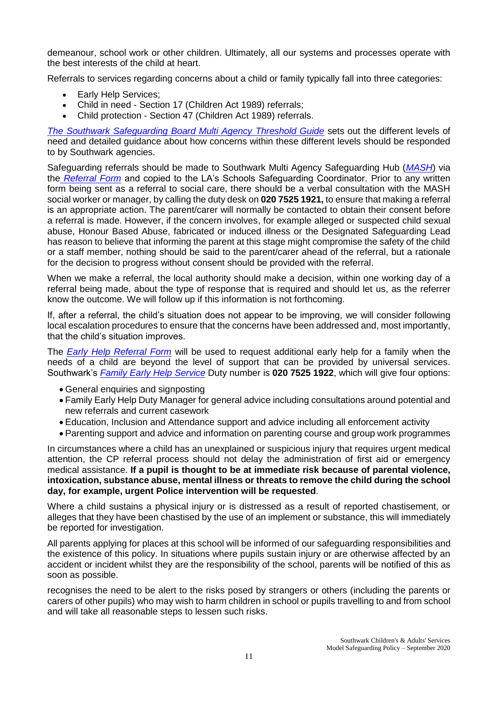demeanour, school work or other children. Ultimately, all our systems and processes operate with the best interests of the child at heart.

Referrals to services regarding concerns about a child or family typically fall into three categories:

- Early Help Services;
- Child in need Section 17 (Children Act 1989) referrals;
- Child protection Section 47 (Children Act 1989) referrals.

*[The Southwark Safeguarding Board Multi Agency Threshold Guide](https://schools.southwark.gov.uk/assets/attach/5087/SSCB-Threshold-of-needs-2019-final.pdf)* sets out the different levels of need and detailed guidance about how concerns within these different levels should be responded to by Southwark agencies.

Safeguarding referrals should be made to Southwark Multi Agency Safeguarding Hub (*[MASH](https://www.southwark.gov.uk/childcare-and-parenting/children-s-social-care/child-protection/multi-agency-safeguarding-hub-mash)*) via the *[Referral Form](https://www.safeguarding.southwark.gov.uk/assets/files/524/updated-multi-agency-referral-form-updated-5.12.19.docx)* and copied to the LA's Schools Safeguarding Coordinator. Prior to any written form being sent as a referral to social care, there should be a verbal consultation with the MASH social worker or manager, by calling the duty desk on **020 7525 1921,** to ensure that making a referral is an appropriate action. The parent/carer will normally be contacted to obtain their consent before a referral is made. However, if the concern involves, for example alleged or suspected child sexual abuse, Honour Based Abuse, fabricated or induced illness or the Designated Safeguarding Lead has reason to believe that informing the parent at this stage might compromise the safety of the child or a staff member, nothing should be said to the parent/carer ahead of the referral, but a rationale for the decision to progress without consent should be provided with the referral.

When we make a referral, the local authority should make a decision, within one working day of a referral being made, about the type of response that is required and should let us, as the referrer know the outcome. We will follow up if this information is not forthcoming.

If, after a referral, the child's situation does not appear to be improving, we will consider following local escalation procedures to ensure that the concerns have been addressed and, most importantly, that the child's situation improves.

The *[Early Help Referral Form](https://www.southwark.gov.uk/assets/attach/4659/New-Early-Help-Referral-Form-2-1-.docx)* will be used to request additional early help for a family when the needs of a child are beyond the level of support that can be provided by universal services. Southwark's *[Family Early Help](https://www.southwark.gov.uk/childcare-and-parenting/children-s-social-care/family-early-help-feh/family-early-help-feh-strategy) Service* Duty number is **020 7525 1922**, which will give four options:

- General enquiries and signposting
- Family Early Help Duty Manager for general advice including consultations around potential and new referrals and current casework
- Education, Inclusion and Attendance support and advice including all enforcement activity
- Parenting support and advice and information on parenting course and group work programmes

In circumstances where a child has an unexplained or suspicious injury that requires urgent medical attention, the CP referral process should not delay the administration of first aid or emergency medical assistance. **If a pupil is thought to be at immediate risk because of parental violence, intoxication, substance abuse, mental illness or threats to remove the child during the school day, for example, urgent Police intervention will be requested**.

Where a child sustains a physical injury or is distressed as a result of reported chastisement, or alleges that they have been chastised by the use of an implement or substance, this will immediately be reported for investigation.

All parents applying for places at this school will be informed of our safeguarding responsibilities and the existence of this policy. In situations where pupils sustain injury or are otherwise affected by an accident or incident whilst they are the responsibility of the school, parents will be notified of this as soon as possible.

recognises the need to be alert to the risks posed by strangers or others (including the parents or carers of other pupils) who may wish to harm children in school or pupils travelling to and from school and will take all reasonable steps to lessen such risks.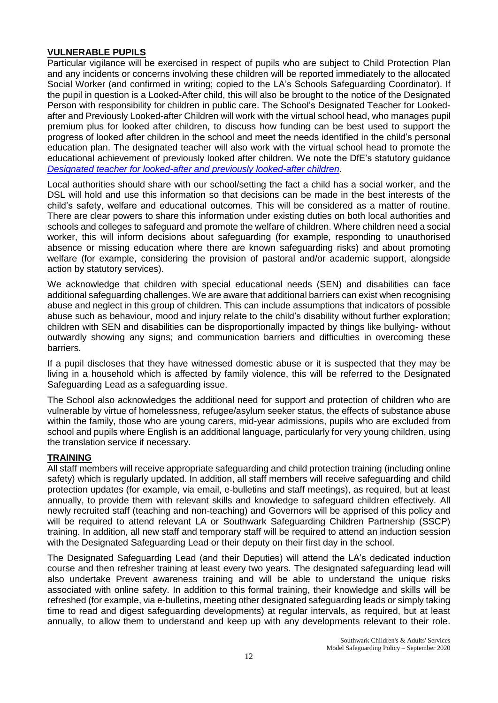# **VULNERABLE PUPILS**

Particular vigilance will be exercised in respect of pupils who are subject to Child Protection Plan and any incidents or concerns involving these children will be reported immediately to the allocated Social Worker (and confirmed in writing; copied to the LA's Schools Safeguarding Coordinator). If the pupil in question is a Looked-After child, this will also be brought to the notice of the Designated Person with responsibility for children in public care. The School's Designated Teacher for Lookedafter and Previously Looked-after Children will work with the virtual school head, who manages pupil premium plus for looked after children, to discuss how funding can be best used to support the progress of looked after children in the school and meet the needs identified in the child's personal education plan. The designated teacher will also work with the virtual school head to promote the educational achievement of previously looked after children. We note the DfE's statutory guidance *[Designated teacher for looked-after and previously looked-after children](https://www.gov.uk/government/publications/designated-teacher-for-looked-after-children)*.

Local authorities should share with our school/setting the fact a child has a social worker, and the DSL will hold and use this information so that decisions can be made in the best interests of the child's safety, welfare and educational outcomes. This will be considered as a matter of routine. There are clear powers to share this information under existing duties on both local authorities and schools and colleges to safeguard and promote the welfare of children. Where children need a social worker, this will inform decisions about safeguarding (for example, responding to unauthorised absence or missing education where there are known safeguarding risks) and about promoting welfare (for example, considering the provision of pastoral and/or academic support, alongside action by statutory services).

We acknowledge that children with special educational needs (SEN) and disabilities can face additional safeguarding challenges. We are aware that additional barriers can exist when recognising abuse and neglect in this group of children. This can include assumptions that indicators of possible abuse such as behaviour, mood and injury relate to the child's disability without further exploration; children with SEN and disabilities can be disproportionally impacted by things like bullying- without outwardly showing any signs; and communication barriers and difficulties in overcoming these barriers.

If a pupil discloses that they have witnessed domestic abuse or it is suspected that they may be living in a household which is affected by family violence, this will be referred to the Designated Safeguarding Lead as a safeguarding issue.

The School also acknowledges the additional need for support and protection of children who are vulnerable by virtue of homelessness, refugee/asylum seeker status, the effects of substance abuse within the family, those who are young carers, mid-year admissions, pupils who are excluded from school and pupils where English is an additional language, particularly for very young children, using the translation service if necessary.

### **TRAINING**

All staff members will receive appropriate safeguarding and child protection training (including online safety) which is regularly updated. In addition, all staff members will receive safeguarding and child protection updates (for example, via email, e-bulletins and staff meetings), as required, but at least annually, to provide them with relevant skills and knowledge to safeguard children effectively. All newly recruited staff (teaching and non-teaching) and Governors will be apprised of this policy and will be required to attend relevant LA or Southwark Safeguarding Children Partnership (SSCP) training. In addition, all new staff and temporary staff will be required to attend an induction session with the Designated Safeguarding Lead or their deputy on their first day in the school.

The Designated Safeguarding Lead (and their Deputies) will attend the LA's dedicated induction course and then refresher training at least every two years. The designated safeguarding lead will also undertake Prevent awareness training and will be able to understand the unique risks associated with online safety. In addition to this formal training, their knowledge and skills will be refreshed (for example, via e-bulletins, meeting other designated safeguarding leads or simply taking time to read and digest safeguarding developments) at regular intervals, as required, but at least annually, to allow them to understand and keep up with any developments relevant to their role.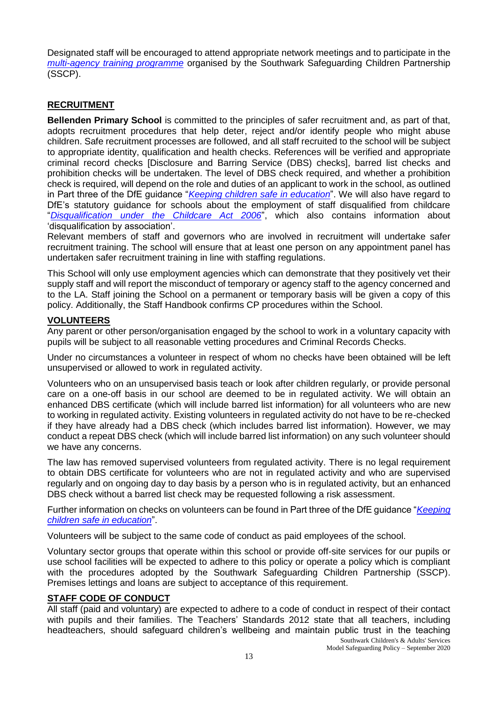Designated staff will be encouraged to attend appropriate network meetings and to participate in the *[multi-agency training programme](http://www.mylearningsource.co.uk/category/safeguarding)* organised by the Southwark Safeguarding Children Partnership (SSCP).

# **RECRUITMENT**

**Bellenden Primary School** is committed to the principles of safer recruitment and, as part of that, adopts recruitment procedures that help deter, reject and/or identify people who might abuse children. Safe recruitment processes are followed, and all staff recruited to the school will be subject to appropriate identity, qualification and health checks. References will be verified and appropriate criminal record checks [Disclosure and Barring Service (DBS) checks], barred list checks and prohibition checks will be undertaken. The level of DBS check required, and whether a prohibition check is required, will depend on the role and duties of an applicant to work in the school, as outlined in Part three of the DfE guidance "*[Keeping children safe in education](https://www.gov.uk/government/publications/keeping-children-safe-in-education--2)*". We will also have regard to DfE's statutory guidance for schools about the employment of staff disqualified from childcare "*[Disqualification under the Childcare Act 2006](https://www.gov.uk/government/publications/disqualification-under-the-childcare-act-2006)*", which also contains information about 'disqualification by association'.

Relevant members of staff and governors who are involved in recruitment will undertake safer recruitment training. The school will ensure that at least one person on any appointment panel has undertaken safer recruitment training in line with staffing regulations.

This School will only use employment agencies which can demonstrate that they positively vet their supply staff and will report the misconduct of temporary or agency staff to the agency concerned and to the LA. Staff joining the School on a permanent or temporary basis will be given a copy of this policy. Additionally, the Staff Handbook confirms CP procedures within the School.

# **VOLUNTEERS**

Any parent or other person/organisation engaged by the school to work in a voluntary capacity with pupils will be subject to all reasonable vetting procedures and Criminal Records Checks.

Under no circumstances a volunteer in respect of whom no checks have been obtained will be left unsupervised or allowed to work in regulated activity.

Volunteers who on an unsupervised basis teach or look after children regularly, or provide personal care on a one-off basis in our school are deemed to be in regulated activity. We will obtain an enhanced DBS certificate (which will include barred list information) for all volunteers who are new to working in regulated activity. Existing volunteers in regulated activity do not have to be re-checked if they have already had a DBS check (which includes barred list information). However, we may conduct a repeat DBS check (which will include barred list information) on any such volunteer should we have any concerns.

The law has removed supervised volunteers from regulated activity. There is no legal requirement to obtain DBS certificate for volunteers who are not in regulated activity and who are supervised regularly and on ongoing day to day basis by a person who is in regulated activity, but an enhanced DBS check without a barred list check may be requested following a risk assessment.

Further information on checks on volunteers can be found in Part three of the DfE guidance "*[Keeping](https://www.gov.uk/government/publications/keeping-children-safe-in-education--2)  [children safe in education](https://www.gov.uk/government/publications/keeping-children-safe-in-education--2)*".

Volunteers will be subject to the same code of conduct as paid employees of the school.

Voluntary sector groups that operate within this school or provide off-site services for our pupils or use school facilities will be expected to adhere to this policy or operate a policy which is compliant with the procedures adopted by the Southwark Safeguarding Children Partnership (SSCP). Premises lettings and loans are subject to acceptance of this requirement.

# **STAFF CODE OF CONDUCT**

All staff (paid and voluntary) are expected to adhere to a code of conduct in respect of their contact with pupils and their families. The Teachers' Standards 2012 state that all teachers, including headteachers, should safeguard children's wellbeing and maintain public trust in the teaching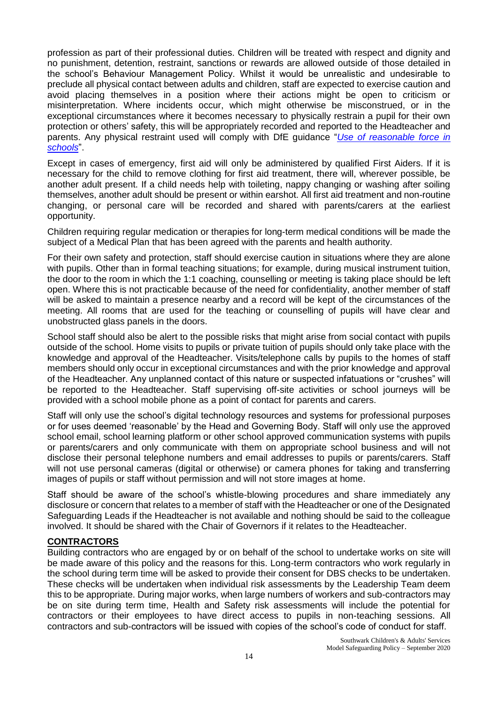profession as part of their professional duties. Children will be treated with respect and dignity and no punishment, detention, restraint, sanctions or rewards are allowed outside of those detailed in the school's Behaviour Management Policy. Whilst it would be unrealistic and undesirable to preclude all physical contact between adults and children, staff are expected to exercise caution and avoid placing themselves in a position where their actions might be open to criticism or misinterpretation. Where incidents occur, which might otherwise be misconstrued, or in the exceptional circumstances where it becomes necessary to physically restrain a pupil for their own protection or others' safety, this will be appropriately recorded and reported to the Headteacher and parents. Any physical restraint used will comply with DfE guidance "*[Use of reasonable force in](https://www.gov.uk/government/publications/use-of-reasonable-force-in-schools)  [schools](https://www.gov.uk/government/publications/use-of-reasonable-force-in-schools)*".

Except in cases of emergency, first aid will only be administered by qualified First Aiders. If it is necessary for the child to remove clothing for first aid treatment, there will, wherever possible, be another adult present. If a child needs help with toileting, nappy changing or washing after soiling themselves, another adult should be present or within earshot. All first aid treatment and non-routine changing, or personal care will be recorded and shared with parents/carers at the earliest opportunity.

Children requiring regular medication or therapies for long-term medical conditions will be made the subject of a Medical Plan that has been agreed with the parents and health authority.

For their own safety and protection, staff should exercise caution in situations where they are alone with pupils. Other than in formal teaching situations; for example, during musical instrument tuition, the door to the room in which the 1:1 coaching, counselling or meeting is taking place should be left open. Where this is not practicable because of the need for confidentiality, another member of staff will be asked to maintain a presence nearby and a record will be kept of the circumstances of the meeting. All rooms that are used for the teaching or counselling of pupils will have clear and unobstructed glass panels in the doors.

School staff should also be alert to the possible risks that might arise from social contact with pupils outside of the school. Home visits to pupils or private tuition of pupils should only take place with the knowledge and approval of the Headteacher. Visits/telephone calls by pupils to the homes of staff members should only occur in exceptional circumstances and with the prior knowledge and approval of the Headteacher. Any unplanned contact of this nature or suspected infatuations or "crushes" will be reported to the Headteacher. Staff supervising off-site activities or school journeys will be provided with a school mobile phone as a point of contact for parents and carers.

Staff will only use the school's digital technology resources and systems for professional purposes or for uses deemed 'reasonable' by the Head and Governing Body. Staff will only use the approved school email, school learning platform or other school approved communication systems with pupils or parents/carers and only communicate with them on appropriate school business and will not disclose their personal telephone numbers and email addresses to pupils or parents/carers. Staff will not use personal cameras (digital or otherwise) or camera phones for taking and transferring images of pupils or staff without permission and will not store images at home.

Staff should be aware of the school's whistle-blowing procedures and share immediately any disclosure or concern that relates to a member of staff with the Headteacher or one of the Designated Safeguarding Leads if the Headteacher is not available and nothing should be said to the colleague involved. It should be shared with the Chair of Governors if it relates to the Headteacher.

# **CONTRACTORS**

Building contractors who are engaged by or on behalf of the school to undertake works on site will be made aware of this policy and the reasons for this. Long-term contractors who work regularly in the school during term time will be asked to provide their consent for DBS checks to be undertaken. These checks will be undertaken when individual risk assessments by the Leadership Team deem this to be appropriate. During major works, when large numbers of workers and sub-contractors may be on site during term time, Health and Safety risk assessments will include the potential for contractors or their employees to have direct access to pupils in non-teaching sessions. All contractors and sub-contractors will be issued with copies of the school's code of conduct for staff.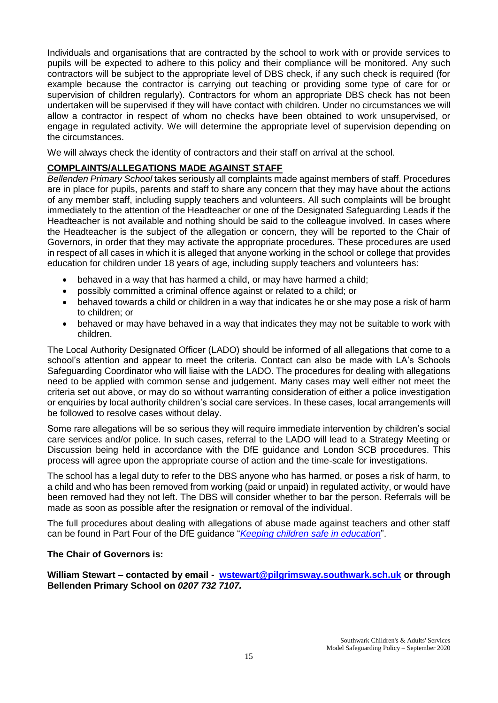Individuals and organisations that are contracted by the school to work with or provide services to pupils will be expected to adhere to this policy and their compliance will be monitored. Any such contractors will be subject to the appropriate level of DBS check, if any such check is required (for example because the contractor is carrying out teaching or providing some type of care for or supervision of children regularly). Contractors for whom an appropriate DBS check has not been undertaken will be supervised if they will have contact with children. Under no circumstances we will allow a contractor in respect of whom no checks have been obtained to work unsupervised, or engage in regulated activity. We will determine the appropriate level of supervision depending on the circumstances.

We will always check the identity of contractors and their staff on arrival at the school.

## **COMPLAINTS/ALLEGATIONS MADE AGAINST STAFF**

*Bellenden Primary School* takes seriously all complaints made against members of staff. Procedures are in place for pupils, parents and staff to share any concern that they may have about the actions of any member staff, including supply teachers and volunteers. All such complaints will be brought immediately to the attention of the Headteacher or one of the Designated Safeguarding Leads if the Headteacher is not available and nothing should be said to the colleague involved. In cases where the Headteacher is the subject of the allegation or concern, they will be reported to the Chair of Governors, in order that they may activate the appropriate procedures. These procedures are used in respect of all cases in which it is alleged that anyone working in the school or college that provides education for children under 18 years of age, including supply teachers and volunteers has:

- behaved in a way that has harmed a child, or may have harmed a child;
- possibly committed a criminal offence against or related to a child; or
- behaved towards a child or children in a way that indicates he or she may pose a risk of harm to children; or
- behaved or may have behaved in a way that indicates they may not be suitable to work with children.

The Local Authority Designated Officer (LADO) should be informed of all allegations that come to a school's attention and appear to meet the criteria. Contact can also be made with LA's Schools Safeguarding Coordinator who will liaise with the LADO. The procedures for dealing with allegations need to be applied with common sense and judgement. Many cases may well either not meet the criteria set out above, or may do so without warranting consideration of either a police investigation or enquiries by local authority children's social care services. In these cases, local arrangements will be followed to resolve cases without delay.

Some rare allegations will be so serious they will require immediate intervention by children's social care services and/or police. In such cases, referral to the LADO will lead to a Strategy Meeting or Discussion being held in accordance with the DfE guidance and London SCB procedures. This process will agree upon the appropriate course of action and the time-scale for investigations.

The school has a legal duty to refer to the DBS anyone who has harmed, or poses a risk of harm, to a child and who has been removed from working (paid or unpaid) in regulated activity, or would have been removed had they not left. The DBS will consider whether to bar the person. Referrals will be made as soon as possible after the resignation or removal of the individual.

The full procedures about dealing with allegations of abuse made against teachers and other staff can be found in Part Four of the DfE guidance "*[Keeping children safe in education](https://www.gov.uk/government/publications/keeping-children-safe-in-education--2)*".

### **The Chair of Governors is:**

**William Stewart – contacted by email - [wstewart@pilgrimsway.southwark.sch.uk](mailto:wstewart@pilgrimsway.southwark.sch.uk) or through Bellenden Primary School on** *0207 732 7107.*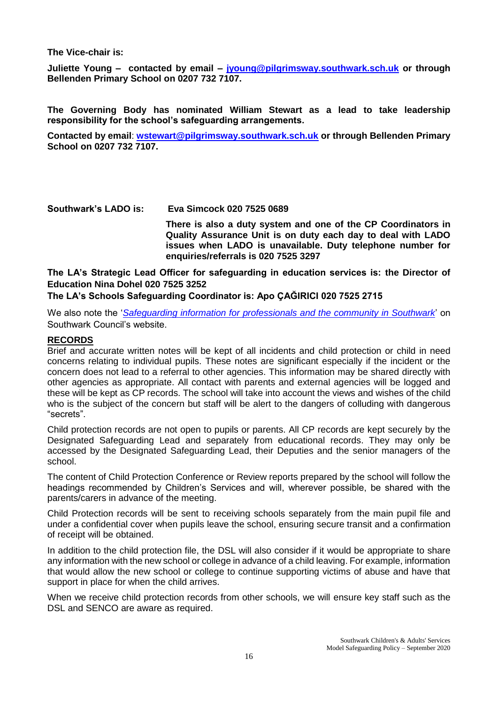**The Vice-chair is:** 

**Juliette Young – contacted by email – [jyoung@pilgrimsway.southwark.sch.uk](mailto:jyoung@pilgrimsway.southwark.sch.uk) or through Bellenden Primary School on 0207 732 7107.**

**The Governing Body has nominated William Stewart as a lead to take leadership responsibility for the school's safeguarding arrangements.**

**Contacted by email**: **[wstewart@pilgrimsway.southwark.sch.uk](mailto:wstewart@pilgrimsway.southwark.sch.uk) or through Bellenden Primary School on 0207 732 7107.**

**Southwark's LADO is: Eva Simcock 020 7525 0689 There is also a duty system and one of the CP Coordinators in Quality Assurance Unit is on duty each day to deal with LADO issues when LADO is unavailable. Duty telephone number for enquiries/referrals is 020 7525 3297**

**The LA's Strategic Lead Officer for safeguarding in education services is: the Director of Education Nina Dohel 020 7525 3252**

### **The LA's Schools Safeguarding Coordinator is: Apo ÇAĞIRICI 020 7525 2715**

We also note the '*[Safeguarding information for professionals and the community in Southwark](http://safeguarding.southwark.gov.uk/)*' on Southwark Council's website.

### **RECORDS**

Brief and accurate written notes will be kept of all incidents and child protection or child in need concerns relating to individual pupils. These notes are significant especially if the incident or the concern does not lead to a referral to other agencies. This information may be shared directly with other agencies as appropriate. All contact with parents and external agencies will be logged and these will be kept as CP records. The school will take into account the views and wishes of the child who is the subject of the concern but staff will be alert to the dangers of colluding with dangerous "secrets".

Child protection records are not open to pupils or parents. All CP records are kept securely by the Designated Safeguarding Lead and separately from educational records. They may only be accessed by the Designated Safeguarding Lead, their Deputies and the senior managers of the school.

The content of Child Protection Conference or Review reports prepared by the school will follow the headings recommended by Children's Services and will, wherever possible, be shared with the parents/carers in advance of the meeting.

Child Protection records will be sent to receiving schools separately from the main pupil file and under a confidential cover when pupils leave the school, ensuring secure transit and a confirmation of receipt will be obtained.

In addition to the child protection file, the DSL will also consider if it would be appropriate to share any information with the new school or college in advance of a child leaving. For example, information that would allow the new school or college to continue supporting victims of abuse and have that support in place for when the child arrives.

When we receive child protection records from other schools, we will ensure key staff such as the DSL and SENCO are aware as required.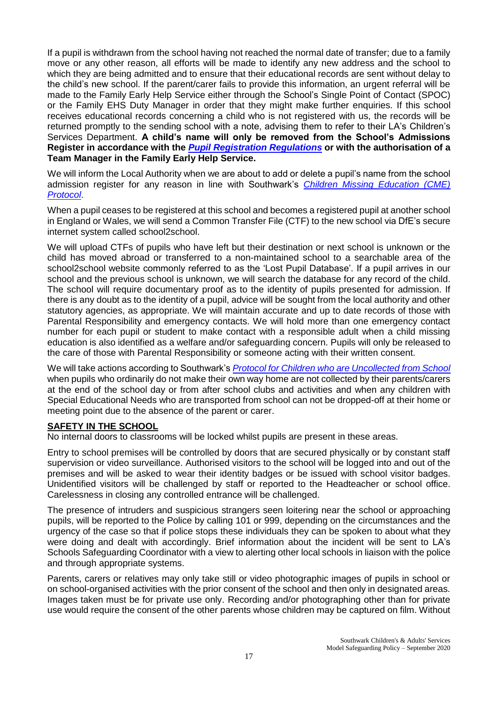If a pupil is withdrawn from the school having not reached the normal date of transfer; due to a family move or any other reason, all efforts will be made to identify any new address and the school to which they are being admitted and to ensure that their educational records are sent without delay to the child's new school. If the parent/carer fails to provide this information, an urgent referral will be made to the Family Early Help Service either through the School's Single Point of Contact (SPOC) or the Family EHS Duty Manager in order that they might make further enquiries. If this school receives educational records concerning a child who is not registered with us, the records will be returned promptly to the sending school with a note, advising them to refer to their LA's Children's Services Department. **A child's name will only be removed from the School's Admissions Register in accordance with the** *[Pupil Registration Regulations](https://www.gov.uk/government/publications/school-attendance)* **or with the authorisation of a Team Manager in the Family Early Help Service.**

We will inform the Local Authority when we are about to add or delete a pupil's name from the school admission register for any reason in line with Southwark's *[Children Missing Education \(CME\)](https://safeguarding.southwark.gov.uk/assets/files/434/CME-protocol-Feb-17.pdf)  [Protocol](https://safeguarding.southwark.gov.uk/assets/files/434/CME-protocol-Feb-17.pdf)*.

When a pupil ceases to be registered at this school and becomes a registered pupil at another school in England or Wales, we will send a Common Transfer File (CTF) to the new school via DfE's secure internet system called school2school.

We will upload CTFs of pupils who have left but their destination or next school is unknown or the child has moved abroad or transferred to a non-maintained school to a searchable area of the school2school website commonly referred to as the 'Lost Pupil Database'. If a pupil arrives in our school and the previous school is unknown, we will search the database for any record of the child. The school will require documentary proof as to the identity of pupils presented for admission. If there is any doubt as to the identity of a pupil, advice will be sought from the local authority and other statutory agencies, as appropriate. We will maintain accurate and up to date records of those with Parental Responsibility and emergency contacts. We will hold more than one emergency contact number for each pupil or student to make contact with a responsible adult when a child missing education is also identified as a welfare and/or safeguarding concern. Pupils will only be released to the care of those with Parental Responsibility or someone acting with their written consent.

We will take actions according to Southwark's *[Protocol for Children who are Uncollected from School](https://southwark.proceduresonline.com/chapters/pr_child_not_collect_school.htm#child_education)* when pupils who ordinarily do not make their own way home are not collected by their parents/carers at the end of the school day or from after school clubs and activities and when any children with Special Educational Needs who are transported from school can not be dropped-off at their home or meeting point due to the absence of the parent or carer.

### **SAFETY IN THE SCHOOL**

No internal doors to classrooms will be locked whilst pupils are present in these areas.

Entry to school premises will be controlled by doors that are secured physically or by constant staff supervision or video surveillance. Authorised visitors to the school will be logged into and out of the premises and will be asked to wear their identity badges or be issued with school visitor badges. Unidentified visitors will be challenged by staff or reported to the Headteacher or school office. Carelessness in closing any controlled entrance will be challenged.

The presence of intruders and suspicious strangers seen loitering near the school or approaching pupils, will be reported to the Police by calling 101 or 999, depending on the circumstances and the urgency of the case so that if police stops these individuals they can be spoken to about what they were doing and dealt with accordingly. Brief information about the incident will be sent to LA's Schools Safeguarding Coordinator with a view to alerting other local schools in liaison with the police and through appropriate systems.

Parents, carers or relatives may only take still or video photographic images of pupils in school or on school-organised activities with the prior consent of the school and then only in designated areas. Images taken must be for private use only. Recording and/or photographing other than for private use would require the consent of the other parents whose children may be captured on film. Without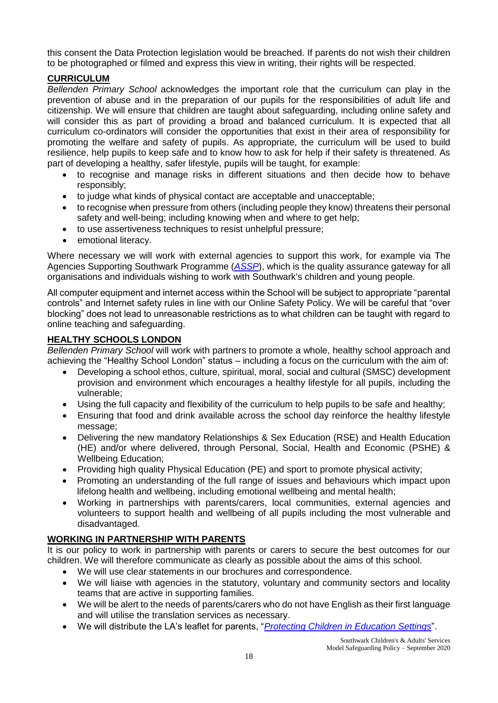this consent the Data Protection legislation would be breached. If parents do not wish their children to be photographed or filmed and express this view in writing, their rights will be respected.

## **CURRICULUM**

*Bellenden Primary School* acknowledges the important role that the curriculum can play in the prevention of abuse and in the preparation of our pupils for the responsibilities of adult life and citizenship. We will ensure that children are taught about safeguarding, including online safety and will consider this as part of providing a broad and balanced curriculum. It is expected that all curriculum co-ordinators will consider the opportunities that exist in their area of responsibility for promoting the welfare and safety of pupils. As appropriate, the curriculum will be used to build resilience, help pupils to keep safe and to know how to ask for help if their safety is threatened. As part of developing a healthy, safer lifestyle, pupils will be taught, for example:

- to recognise and manage risks in different situations and then decide how to behave responsibly;
- to judge what kinds of physical contact are acceptable and unacceptable;<br>• to recognise when pressure from others (including people they know) threat
- to recognise when pressure from others (including people they know) threatens their personal safety and well-being; including knowing when and where to get help;
- to use assertiveness techniques to resist unhelpful pressure;
- emotional literacy.

Where necessary we will work with external agencies to support this work, for example via The Agencies Supporting Southwark Programme (*[ASSP](https://www.southwark.gov.uk/childcare-and-parenting/children-s-social-care/child-protection/agencies-supporting-southwark-programme-assp)*), which is the quality assurance gateway for all organisations and individuals wishing to work with Southwark's children and young people.

All computer equipment and internet access within the School will be subject to appropriate "parental controls" and Internet safety rules in line with our Online Safety Policy. We will be careful that "over blocking" does not lead to unreasonable restrictions as to what children can be taught with regard to online teaching and safeguarding.

## **HEALTHY SCHOOLS LONDON**

*Bellenden Primary School* will work with partners to promote a whole, healthy school approach and achieving the "Healthy School London" status – including a focus on the curriculum with the aim of:

- Developing a school ethos, culture, spiritual, moral, social and cultural (SMSC) development provision and environment which encourages a healthy lifestyle for all pupils, including the vulnerable;
- Using the full capacity and flexibility of the curriculum to help pupils to be safe and healthy;
- Ensuring that food and drink available across the school day reinforce the healthy lifestyle message:
- Delivering the new mandatory Relationships & Sex Education (RSE) and Health Education (HE) and/or where delivered, through Personal, Social, Health and Economic (PSHE) & Wellbeing Education;
- Providing high quality Physical Education (PE) and sport to promote physical activity;
- Promoting an understanding of the full range of issues and behaviours which impact upon lifelong health and wellbeing, including emotional wellbeing and mental health;
- Working in partnerships with parents/carers, local communities, external agencies and volunteers to support health and wellbeing of all pupils including the most vulnerable and disadvantaged.

# **WORKING IN PARTNERSHIP WITH PARENTS**

It is our policy to work in partnership with parents or carers to secure the best outcomes for our children. We will therefore communicate as clearly as possible about the aims of this school.

- We will use clear statements in our brochures and correspondence.
- We will liaise with agencies in the statutory, voluntary and community sectors and locality teams that are active in supporting families.
- We will be alert to the needs of parents/carers who do not have English as their first language and will utilise the translation services as necessary.
- We will distribute the LA's leaflet for parents, "*[Protecting Children in Education Settings](https://schools.southwark.gov.uk/assets/attach/4636/Protecting-children-in-education-settings-2018.pdf)*".